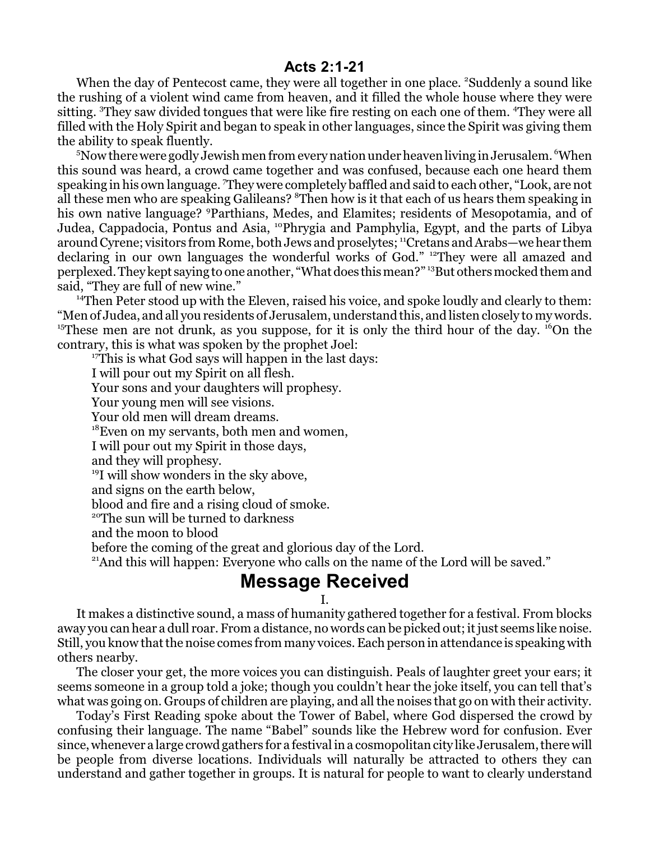## **Acts 2:1-21**

When the day of Pentecost came, they were all together in one place. <sup>2</sup>Suddenly a sound like the rushing of a violent wind came from heaven, and it filled the whole house where they were sitting. <sup>3</sup>They saw divided tongues that were like fire resting on each one of them. <sup>4</sup>They were all filled with the Holy Spirit and began to speak in other languages, since the Spirit was giving them the ability to speak fluently.

 $5$ Now there were godly Jewish men from every nation under heaven living in Jerusalem.  $\rm ^6$ When this sound was heard, a crowd came together and was confused, because each one heard them speaking in his own language. <sup>7</sup>They were completely baffled and said to each other, "Look, are not all these men who are speaking Galileans? <sup>8</sup>Then how is it that each of us hears them speaking in his own native language? <sup>9</sup>Parthians, Medes, and Elamites; residents of Mesopotamia, and of Judea, Cappadocia, Pontus and Asia, <sup>10</sup>Phrygia and Pamphylia, Egypt, and the parts of Libya around Cyrene; visitors from Rome, both Jews and proselytes; <sup>11</sup>Cretans and Arabs—we hear them declaring in our own languages the wonderful works of God." <sup>12</sup>They were all amazed and perplexed. They kept saying to one another, "What does this mean?" <sup>13</sup>But others mocked them and said, "They are full of new wine."

<sup>14</sup>Then Peter stood up with the Eleven, raised his voice, and spoke loudly and clearly to them: "Men of Judea, and all you residents of Jerusalem, understand this, and listen closely to my words. <sup>15</sup>These men are not drunk, as you suppose, for it is only the third hour of the day. <sup>16</sup>On the contrary, this is what was spoken by the prophet Joel:

<sup>17</sup>This is what God says will happen in the last days: I will pour out my Spirit on all flesh. Your sons and your daughters will prophesy. Your young men will see visions. Your old men will dream dreams. <sup>18</sup>Even on my servants, both men and women, I will pour out my Spirit in those days, and they will prophesy. <sup>19</sup>I will show wonders in the sky above, and signs on the earth below, blood and fire and a rising cloud of smoke. <sup>20</sup>The sun will be turned to darkness and the moon to blood before the coming of the great and glorious day of the Lord.

<sup>21</sup>And this will happen: Everyone who calls on the name of the Lord will be saved."

## **Message Received**

## I.

It makes a distinctive sound, a mass of humanity gathered together for a festival. From blocks away you can hear a dull roar. From a distance, no words can be picked out; it just seems like noise. Still, you know that the noise comes from many voices. Each person in attendance is speaking with others nearby.

The closer your get, the more voices you can distinguish. Peals of laughter greet your ears; it seems someone in a group told a joke; though you couldn't hear the joke itself, you can tell that's what was going on. Groups of children are playing, and all the noises that go on with their activity.

Today's First Reading spoke about the Tower of Babel, where God dispersed the crowd by confusing their language. The name "Babel" sounds like the Hebrew word for confusion. Ever since, whenever a large crowd gathers for a festival in a cosmopolitan city like Jerusalem, there will be people from diverse locations. Individuals will naturally be attracted to others they can understand and gather together in groups. It is natural for people to want to clearly understand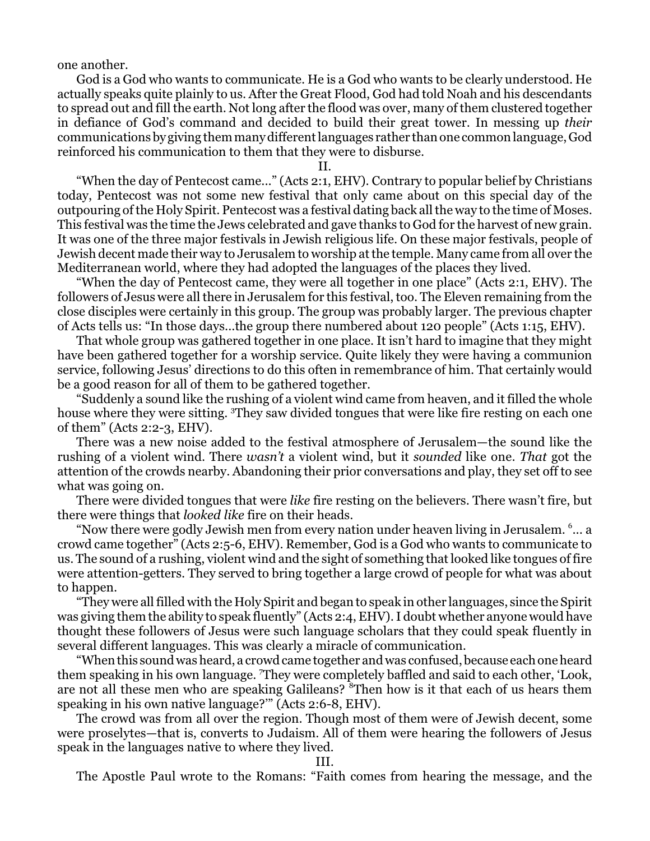one another.

God is a God who wants to communicate. He is a God who wants to be clearly understood. He actually speaks quite plainly to us. After the Great Flood, God had told Noah and his descendants to spread out and fill the earth. Not long after the flood was over, many of them clustered together in defiance of God's command and decided to build their great tower. In messing up *their* communications by giving them many differentlanguages rather than one common language, God reinforced his communication to them that they were to disburse.

II.

"When the day of Pentecost came..." (Acts 2:1, EHV). Contrary to popular belief by Christians today, Pentecost was not some new festival that only came about on this special day of the outpouring ofthe Holy Spirit. Pentecost was a festival dating back all the way to the time of Moses. This festival was the time the Jews celebrated and gave thanks to God for the harvest of new grain. It was one of the three major festivals in Jewish religious life. On these major festivals, people of Jewish decent made their way to Jerusalem to worship atthe temple. Many came from all over the Mediterranean world, where they had adopted the languages of the places they lived.

"When the day of Pentecost came, they were all together in one place" (Acts 2:1, EHV). The followers of Jesus were all there in Jerusalem for this festival, too. The Eleven remaining from the close disciples were certainly in this group. The group was probably larger. The previous chapter of Acts tells us: "In those days...the group there numbered about 120 people" (Acts 1:15, EHV).

That whole group was gathered together in one place. It isn't hard to imagine that they might have been gathered together for a worship service. Quite likely they were having a communion service, following Jesus' directions to do this often in remembrance of him. That certainly would be a good reason for all of them to be gathered together.

"Suddenly a sound like the rushing of a violent wind came from heaven, and it filled the whole house where they were sitting. <sup>3</sup>They saw divided tongues that were like fire resting on each one of them" (Acts 2:2-3, EHV).

There was a new noise added to the festival atmosphere of Jerusalem—the sound like the rushing of a violent wind. There *wasn't* a violent wind, but it *sounded* like one. *That* got the attention of the crowds nearby. Abandoning their prior conversations and play, they set off to see what was going on.

There were divided tongues that were *like* fire resting on the believers. There wasn't fire, but there were things that *looked like* fire on their heads.

"Now there were godly Jewish men from every nation under heaven living in Jerusalem. <sup>6</sup> ... a crowd came together" (Acts 2:5-6, EHV). Remember, God is a God who wants to communicate to us. The sound of a rushing, violent wind and the sight of something that looked like tongues of fire were attention-getters. They served to bring together a large crowd of people for what was about to happen.

"They were all filled with the Holy Spirit and began to speak in other languages, since the Spirit was giving them the ability to speak fluently" (Acts 2:4, EHV). I doubt whether anyone would have thought these followers of Jesus were such language scholars that they could speak fluently in several different languages. This was clearly a miracle of communication.

"When this sound was heard, a crowd came together and was confused, because each one heard them speaking in his own language. <sup>7</sup>They were completely baffled and said to each other, 'Look, are not all these men who are speaking Galileans? <sup>8</sup>Then how is it that each of us hears them speaking in his own native language?'" (Acts 2:6-8, EHV).

The crowd was from all over the region. Though most of them were of Jewish decent, some were proselytes—that is, converts to Judaism. All of them were hearing the followers of Jesus speak in the languages native to where they lived.

III.

The Apostle Paul wrote to the Romans: "Faith comes from hearing the message, and the